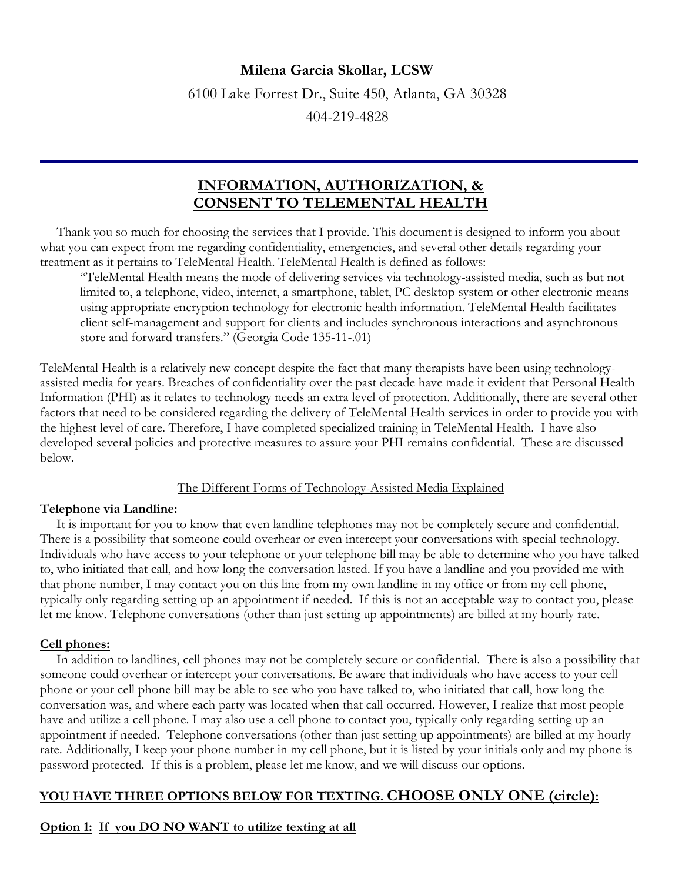# **Milena Garcia Skollar, LCSW**

6100 Lake Forrest Dr., Suite 450, Atlanta, GA 30328

404-219-4828

# **INFORMATION, AUTHORIZATION, & CONSENT TO TELEMENTAL HEALTH**

 Thank you so much for choosing the services that I provide. This document is designed to inform you about what you can expect from me regarding confidentiality, emergencies, and several other details regarding your treatment as it pertains to TeleMental Health. TeleMental Health is defined as follows:

"TeleMental Health means the mode of delivering services via technology-assisted media, such as but not limited to, a telephone, video, internet, a smartphone, tablet, PC desktop system or other electronic means using appropriate encryption technology for electronic health information. TeleMental Health facilitates client self-management and support for clients and includes synchronous interactions and asynchronous store and forward transfers." (Georgia Code 135-11-.01)

TeleMental Health is a relatively new concept despite the fact that many therapists have been using technologyassisted media for years. Breaches of confidentiality over the past decade have made it evident that Personal Health Information (PHI) as it relates to technology needs an extra level of protection. Additionally, there are several other factors that need to be considered regarding the delivery of TeleMental Health services in order to provide you with the highest level of care. Therefore, I have completed specialized training in TeleMental Health. I have also developed several policies and protective measures to assure your PHI remains confidential. These are discussed below.

## The Different Forms of Technology-Assisted Media Explained

## **Telephone via Landline:**

 It is important for you to know that even landline telephones may not be completely secure and confidential. There is a possibility that someone could overhear or even intercept your conversations with special technology. Individuals who have access to your telephone or your telephone bill may be able to determine who you have talked to, who initiated that call, and how long the conversation lasted. If you have a landline and you provided me with that phone number, I may contact you on this line from my own landline in my office or from my cell phone, typically only regarding setting up an appointment if needed. If this is not an acceptable way to contact you, please let me know. Telephone conversations (other than just setting up appointments) are billed at my hourly rate.

# **Cell phones:**

 In addition to landlines, cell phones may not be completely secure or confidential. There is also a possibility that someone could overhear or intercept your conversations. Be aware that individuals who have access to your cell phone or your cell phone bill may be able to see who you have talked to, who initiated that call, how long the conversation was, and where each party was located when that call occurred. However, I realize that most people have and utilize a cell phone. I may also use a cell phone to contact you, typically only regarding setting up an appointment if needed. Telephone conversations (other than just setting up appointments) are billed at my hourly rate. Additionally, I keep your phone number in my cell phone, but it is listed by your initials only and my phone is password protected. If this is a problem, please let me know, and we will discuss our options.

# **YOU HAVE THREE OPTIONS BELOW FOR TEXTING. CHOOSE ONLY ONE (circle):**

# **Option 1: If you DO NO WANT to utilize texting at all**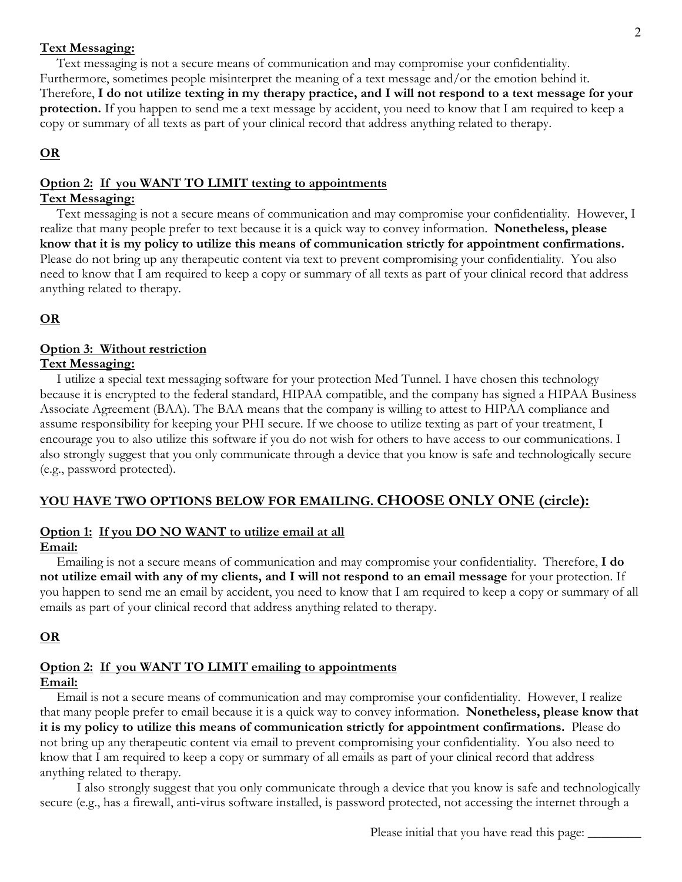#### **Text Messaging:**

 Text messaging is not a secure means of communication and may compromise your confidentiality. Furthermore, sometimes people misinterpret the meaning of a text message and/or the emotion behind it. Therefore, **I do not utilize texting in my therapy practice, and I will not respond to a text message for your protection.** If you happen to send me a text message by accident, you need to know that I am required to keep a copy or summary of all texts as part of your clinical record that address anything related to therapy.

## **OR**

#### **Option 2: If you WANT TO LIMIT texting to appointments**

#### **Text Messaging:**

 Text messaging is not a secure means of communication and may compromise your confidentiality. However, I realize that many people prefer to text because it is a quick way to convey information. **Nonetheless, please know that it is my policy to utilize this means of communication strictly for appointment confirmations.** Please do not bring up any therapeutic content via text to prevent compromising your confidentiality. You also need to know that I am required to keep a copy or summary of all texts as part of your clinical record that address anything related to therapy.

## **OR**

#### **Option 3: Without restriction Text Messaging:**

 I utilize a special text messaging software for your protection Med Tunnel. I have chosen this technology because it is encrypted to the federal standard, HIPAA compatible, and the company has signed a HIPAA Business Associate Agreement (BAA). The BAA means that the company is willing to attest to HIPAA compliance and assume responsibility for keeping your PHI secure. If we choose to utilize texting as part of your treatment, I encourage you to also utilize this software if you do not wish for others to have access to our communications. I also strongly suggest that you only communicate through a device that you know is safe and technologically secure (e.g., password protected).

# **YOU HAVE TWO OPTIONS BELOW FOR EMAILING. CHOOSE ONLY ONE (circle):**

## **Option 1: If you DO NO WANT to utilize email at all**

#### **Email:**

 Emailing is not a secure means of communication and may compromise your confidentiality. Therefore, **I do not utilize email with any of my clients, and I will not respond to an email message** for your protection. If you happen to send me an email by accident, you need to know that I am required to keep a copy or summary of all emails as part of your clinical record that address anything related to therapy.

## **OR**

# **Option 2: If you WANT TO LIMIT emailing to appointments**

#### **Email:**

 Email is not a secure means of communication and may compromise your confidentiality. However, I realize that many people prefer to email because it is a quick way to convey information. **Nonetheless, please know that it is my policy to utilize this means of communication strictly for appointment confirmations.** Please do not bring up any therapeutic content via email to prevent compromising your confidentiality. You also need to know that I am required to keep a copy or summary of all emails as part of your clinical record that address anything related to therapy.

 I also strongly suggest that you only communicate through a device that you know is safe and technologically secure (e.g., has a firewall, anti-virus software installed, is password protected, not accessing the internet through a

Please initial that you have read this page: \_\_\_\_\_\_\_\_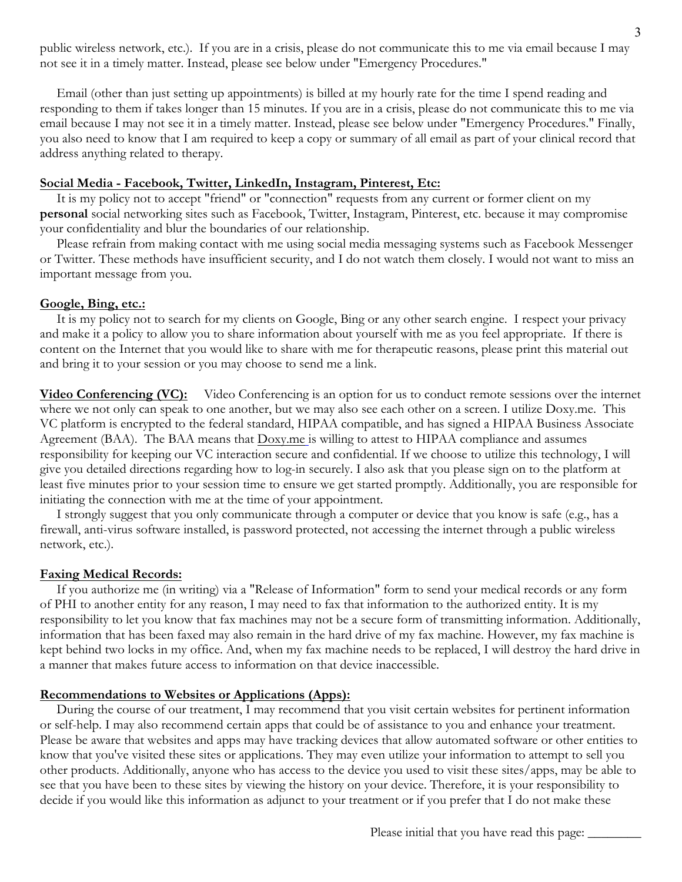public wireless network, etc.). If you are in a crisis, please do not communicate this to me via email because I may not see it in a timely matter. Instead, please see below under "Emergency Procedures."

 Email (other than just setting up appointments) is billed at my hourly rate for the time I spend reading and responding to them if takes longer than 15 minutes. If you are in a crisis, please do not communicate this to me via email because I may not see it in a timely matter. Instead, please see below under "Emergency Procedures." Finally, you also need to know that I am required to keep a copy or summary of all email as part of your clinical record that address anything related to therapy.

# **Social Media - Facebook, Twitter, LinkedIn, Instagram, Pinterest, Etc:**

 It is my policy not to accept "friend" or "connection" requests from any current or former client on my **personal** social networking sites such as Facebook, Twitter, Instagram, Pinterest, etc. because it may compromise your confidentiality and blur the boundaries of our relationship.

 Please refrain from making contact with me using social media messaging systems such as Facebook Messenger or Twitter. These methods have insufficient security, and I do not watch them closely. I would not want to miss an important message from you.

#### **Google, Bing, etc.:**

 It is my policy not to search for my clients on Google, Bing or any other search engine. I respect your privacy and make it a policy to allow you to share information about yourself with me as you feel appropriate. If there is content on the Internet that you would like to share with me for therapeutic reasons, please print this material out and bring it to your session or you may choose to send me a link.

**Video Conferencing (VC):** Video Conferencing is an option for us to conduct remote sessions over the internet where we not only can speak to one another, but we may also see each other on a screen. I utilize Doxy.me. This VC platform is encrypted to the federal standard, HIPAA compatible, and has signed a HIPAA Business Associate Agreement (BAA). The BAA means that **Doxy.me** is willing to attest to HIPAA compliance and assumes responsibility for keeping our VC interaction secure and confidential. If we choose to utilize this technology, I will give you detailed directions regarding how to log-in securely. I also ask that you please sign on to the platform at least five minutes prior to your session time to ensure we get started promptly. Additionally, you are responsible for initiating the connection with me at the time of your appointment.

 I strongly suggest that you only communicate through a computer or device that you know is safe (e.g., has a firewall, anti-virus software installed, is password protected, not accessing the internet through a public wireless network, etc.).

#### **Faxing Medical Records:**

 If you authorize me (in writing) via a "Release of Information" form to send your medical records or any form of PHI to another entity for any reason, I may need to fax that information to the authorized entity. It is my responsibility to let you know that fax machines may not be a secure form of transmitting information. Additionally, information that has been faxed may also remain in the hard drive of my fax machine. However, my fax machine is kept behind two locks in my office. And, when my fax machine needs to be replaced, I will destroy the hard drive in a manner that makes future access to information on that device inaccessible.

#### **Recommendations to Websites or Applications (Apps):**

 During the course of our treatment, I may recommend that you visit certain websites for pertinent information or self-help. I may also recommend certain apps that could be of assistance to you and enhance your treatment. Please be aware that websites and apps may have tracking devices that allow automated software or other entities to know that you've visited these sites or applications. They may even utilize your information to attempt to sell you other products. Additionally, anyone who has access to the device you used to visit these sites/apps, may be able to see that you have been to these sites by viewing the history on your device. Therefore, it is your responsibility to decide if you would like this information as adjunct to your treatment or if you prefer that I do not make these

Please initial that you have read this page:

 $\mathcal P$  and the smartform by Dr. Beaton, LLC  $\mathcal P$  and LLC  $\mathcal P$  and  $\mathcal P$  and  $\mathcal P$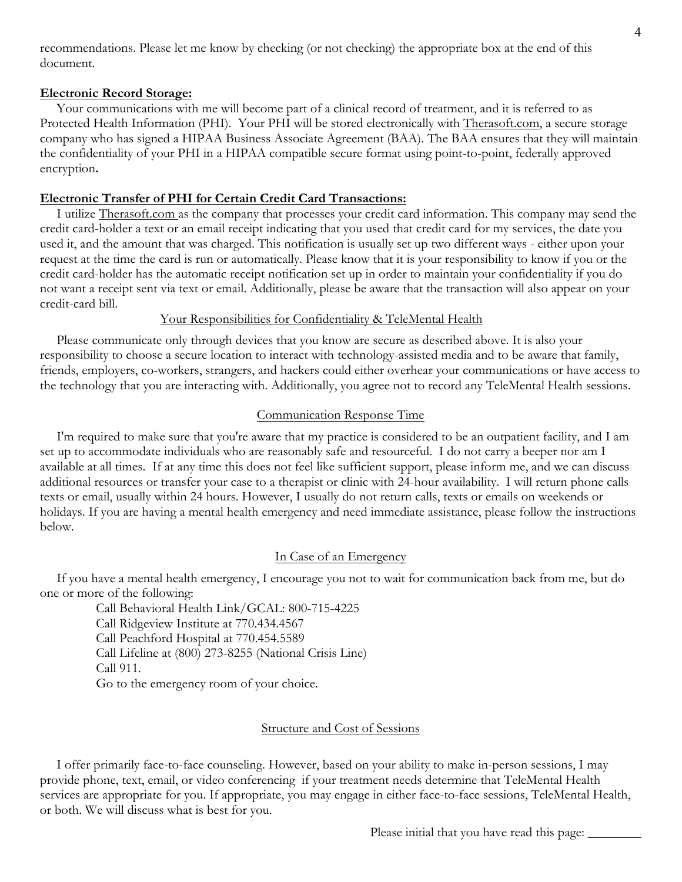recommendations. Please let me know by checking (or not checking) the appropriate box at the end of this document.

## **Electronic Record Storage:**

 Your communications with me will become part of a clinical record of treatment, and it is referred to as Protected Health Information (PHI). Your PHI will be stored electronically with Therasoft.com, a secure storage company who has signed a HIPAA Business Associate Agreement (BAA). The BAA ensures that they will maintain the confidentiality of your PHI in a HIPAA compatible secure format using point-to-point, federally approved encryption**.**

## **Electronic Transfer of PHI for Certain Credit Card Transactions:**

 I utilize Therasoft.com as the company that processes your credit card information. This company may send the credit card-holder a text or an email receipt indicating that you used that credit card for my services, the date you used it, and the amount that was charged. This notification is usually set up two different ways - either upon your request at the time the card is run or automatically. Please know that it is your responsibility to know if you or the credit card-holder has the automatic receipt notification set up in order to maintain your confidentiality if you do not want a receipt sent via text or email. Additionally, please be aware that the transaction will also appear on your credit-card bill.

#### Your Responsibilities for Confidentiality & TeleMental Health

 Please communicate only through devices that you know are secure as described above. It is also your responsibility to choose a secure location to interact with technology-assisted media and to be aware that family, friends, employers, co-workers, strangers, and hackers could either overhear your communications or have access to the technology that you are interacting with. Additionally, you agree not to record any TeleMental Health sessions.

#### Communication Response Time

 I'm required to make sure that you're aware that my practice is considered to be an outpatient facility, and I am set up to accommodate individuals who are reasonably safe and resourceful. I do not carry a beeper nor am I available at all times. If at any time this does not feel like sufficient support, please inform me, and we can discuss additional resources or transfer your case to a therapist or clinic with 24-hour availability. I will return phone calls texts or email, usually within 24 hours. However, I usually do not return calls, texts or emails on weekends or holidays. If you are having a mental health emergency and need immediate assistance, please follow the instructions below.

#### In Case of an Emergency

 If you have a mental health emergency, I encourage you not to wait for communication back from me, but do one or more of the following:

 Call Behavioral Health Link/GCAL: 800-715-4225 Call Ridgeview Institute at 770.434.4567 Call Peachford Hospital at 770.454.5589 Call Lifeline at (800) 273-8255 (National Crisis Line) Call 911. Go to the emergency room of your choice.

## Structure and Cost of Sessions

 I offer primarily face-to-face counseling. However, based on your ability to make in-person sessions, I may provide phone, text, email, or video conferencing if your treatment needs determine that TeleMental Health services are appropriate for you. If appropriate, you may engage in either face-to-face sessions, TeleMental Health, or both. We will discuss what is best for you.

 $\mathcal P$  and the smartform by Dr. Beaton, LLC  $\mathcal P$  and LLC  $\mathcal P$  and  $\mathcal P$  and  $\mathcal P$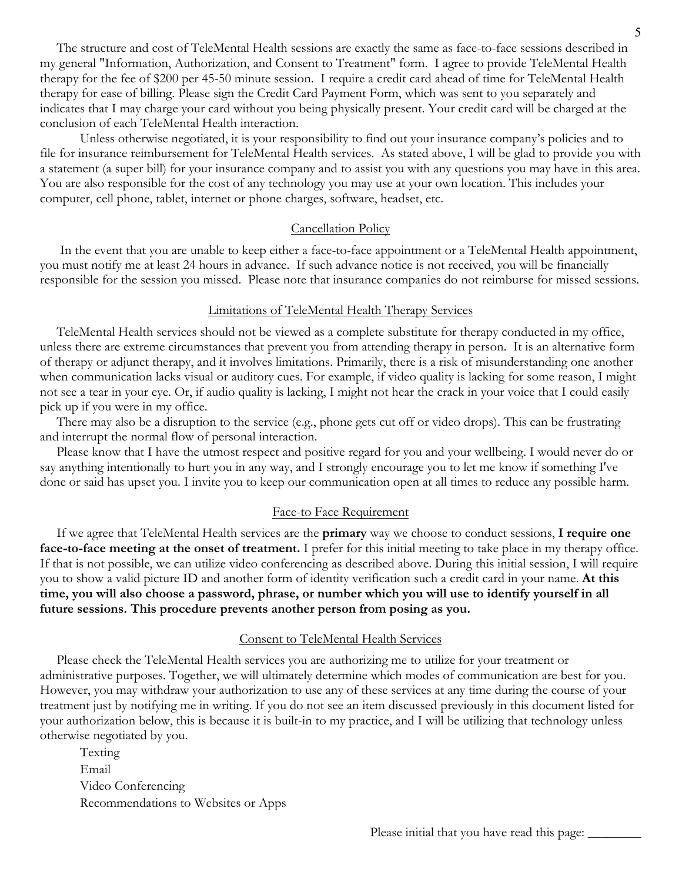The structure and cost of TeleMental Health sessions are exactly the same as face-to-face sessions described in my general "Information, Authorization, and Consent to Treatment" form. I agree to provide TeleMental Health therapy for the fee of \$200 per 45-50 minute session. I require a credit card ahead of time for TeleMental Health therapy for ease of billing. Please sign the Credit Card Payment Form, which was sent to you separately and indicates that I may charge your card without you being physically present. Your credit card will be charged at the conclusion of each TeleMental Health interaction.

Unless otherwise negotiated, it is your responsibility to find out your insurance company's policies and to file for insurance reimbursement for TeleMental Health services. As stated above, I will be glad to provide you with a statement (a super bill) for your insurance company and to assist you with any questions you may have in this area. You are also responsible for the cost of any technology you may use at your own location. This includes your computer, cell phone, tablet, internet or phone charges, software, headset, etc.

#### Cancellation Policy

 In the event that you are unable to keep either a face-to-face appointment or a TeleMental Health appointment, you must notify me at least 24 hours in advance. If such advance notice is not received, you will be financially responsible for the session you missed. Please note that insurance companies do not reimburse for missed sessions.

#### Limitations of TeleMental Health Therapy Services

 TeleMental Health services should not be viewed as a complete substitute for therapy conducted in my office, unless there are extreme circumstances that prevent you from attending therapy in person. It is an alternative form of therapy or adjunct therapy, and it involves limitations. Primarily, there is a risk of misunderstanding one another when communication lacks visual or auditory cues. For example, if video quality is lacking for some reason, I might not see a tear in your eye. Or, if audio quality is lacking, I might not hear the crack in your voice that I could easily pick up if you were in my office.

 There may also be a disruption to the service (e.g., phone gets cut off or video drops). This can be frustrating and interrupt the normal flow of personal interaction.

 Please know that I have the utmost respect and positive regard for you and your wellbeing. I would never do or say anything intentionally to hurt you in any way, and I strongly encourage you to let me know if something I've done or said has upset you. I invite you to keep our communication open at all times to reduce any possible harm.

#### Face-to Face Requirement

 If we agree that TeleMental Health services are the **primary** way we choose to conduct sessions, **I require one face-to-face meeting at the onset of treatment.** I prefer for this initial meeting to take place in my therapy office. If that is not possible, we can utilize video conferencing as described above. During this initial session, I will require you to show a valid picture ID and another form of identity verification such a credit card in your name. **At this time, you will also choose a password, phrase, or number which you will use to identify yourself in all future sessions. This procedure prevents another person from posing as you.**

#### Consent to TeleMental Health Services

 Please check the TeleMental Health services you are authorizing me to utilize for your treatment or administrative purposes. Together, we will ultimately determine which modes of communication are best for you. However, you may withdraw your authorization to use any of these services at any time during the course of your treatment just by notifying me in writing. If you do not see an item discussed previously in this document listed for your authorization below, this is because it is built-in to my practice, and I will be utilizing that technology unless otherwise negotiated by you.

 Texting Email Video Conferencing Recommendations to Websites or Apps

Please initial that you have read this page: \_\_\_\_\_\_\_\_